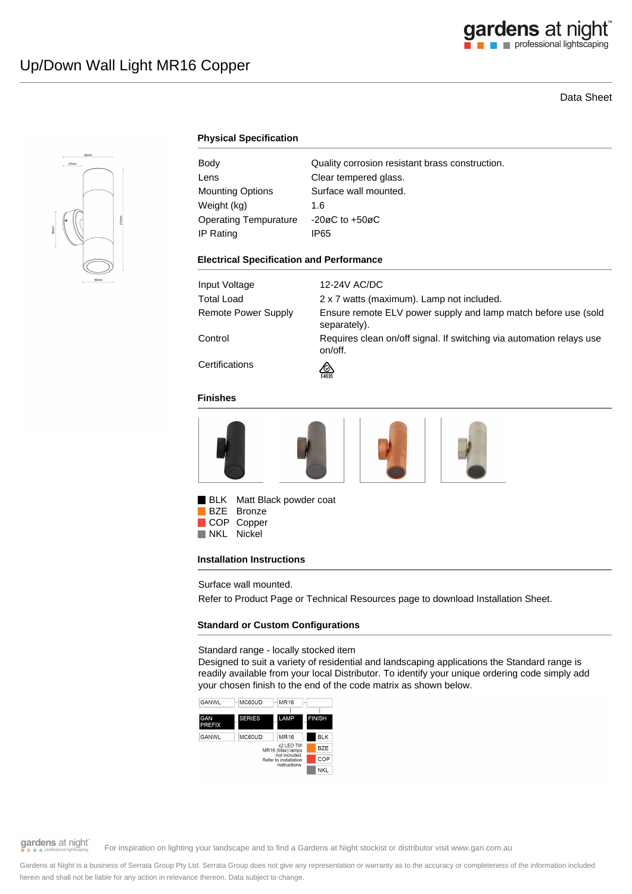# Data Sheet



## **Physical Specification**

| Body                         | Quality corrosion resistant brass construction. |
|------------------------------|-------------------------------------------------|
| Lens                         | Clear tempered glass.                           |
| <b>Mounting Options</b>      | Surface wall mounted.                           |
| Weight (kg)                  | 1.6                                             |
| <b>Operating Tempurature</b> | $-20\varnothing$ C to $+50\varnothing$ C        |
| IP Rating                    | IP65                                            |

#### **Electrical Specification and Performance**

| Input Voltage       | 12-24V AC/DC                                                                    |
|---------------------|---------------------------------------------------------------------------------|
| <b>Total Load</b>   | 2 x 7 watts (maximum). Lamp not included.                                       |
| Remote Power Supply | Ensure remote ELV power supply and lamp match before use (sold<br>separately).  |
| Control             | Requires clean on/off signal. If switching via automation relays use<br>on/off. |
| Certifications      | ∞<br>E4635                                                                      |

### **Finishes**







BLK Matt Black powder coat BZE Bronze COP Copper<br>NKL Nickel

Nickel

### **Installation Instructions**

Surface wall mounted.

Refer to Product Page or Technical Resources page to download Installation Sheet.

### **Standard or Custom Configurations**

Standard range - locally stocked item

Designed to suit a variety of residential and landscaping applications the Standard range is readily available from your local Distributor. To identify your unique ordering code simply add your chosen finish to the end of the code matrix as shown below.





# gardens at night

For inspiration on lighting your landscape and to find a Gardens at Night stockist or distributor visit www.gan.com.au

Gardens at Night is a business of Serrata Group Pty Ltd. Serrata Group does not give any representation or warranty as to the accuracy or completeness of the information included herein and shall not be liable for any action in relevance thereon. Data subject to change.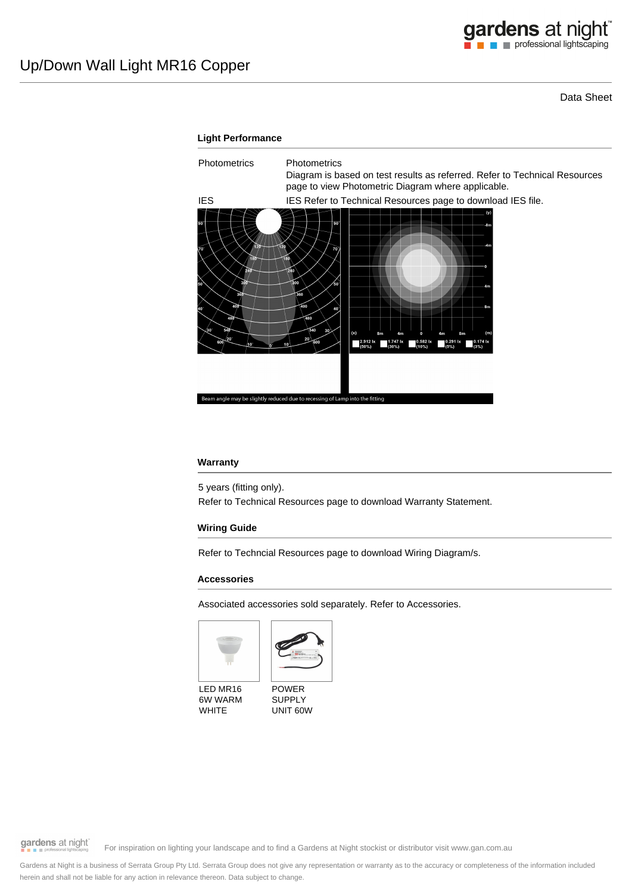Data Sheet



### **Warranty**

5 years (fitting only).

Refer to Technical Resources page to download Warranty Statement.

### **Wiring Guide**

Refer to Techncial Resources page to download Wiring Diagram/s.

### **Accessories**

Associated accessories sold separately. Refer to Accessories.





LED MR16 6W WARM WHITE

POWER SUPPLY UNIT 60W

gardens at night

For inspiration on lighting your landscape and to find a Gardens at Night stockist or distributor visit www.gan.com.au

Gardens at Night is a business of Serrata Group Pty Ltd. Serrata Group does not give any representation or warranty as to the accuracy or completeness of the information included herein and shall not be liable for any action in relevance thereon. Data subject to change.